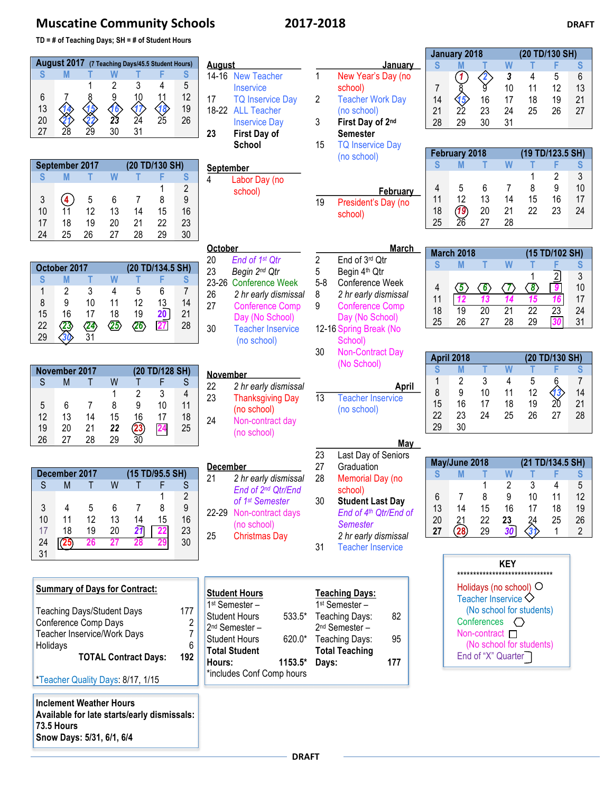## **Muscatine Community Schools 2017-2018 DRAFT**

**TD = # of Teaching Days; SH = # of Student Hours**

| August 2017 (7 Teaching Days/45.5 Student Hours) |  |  |  |  |    |    |  |
|--------------------------------------------------|--|--|--|--|----|----|--|
|                                                  |  |  |  |  |    |    |  |
|                                                  |  |  |  |  |    |    |  |
| 6                                                |  |  |  |  |    | 12 |  |
| 13                                               |  |  |  |  |    | 10 |  |
| 20                                               |  |  |  |  | 25 | 26 |  |
|                                                  |  |  |  |  |    |    |  |

| September 2017 |    |    |    |    | (20 TD/130 SH) |    |
|----------------|----|----|----|----|----------------|----|
| S              |    |    |    |    |                | S  |
|                |    |    |    |    |                | 2  |
| 3              |    | 5  | 6  |    | 8              | 9  |
| 10             |    | 12 | 13 | 14 | 15             | 16 |
| 17             | 18 | 19 | 20 | 21 | 22             | 23 |
| 24             | 25 | 26 | 27 | 28 | 29             | 30 |

|    | October 2017 |    |    | (20 TD/134.5 SH) |    |    |
|----|--------------|----|----|------------------|----|----|
|    |              |    |    |                  |    |    |
|    | 2            | ঽ  |    |                  |    |    |
| 8  | q            | 10 | 11 | 12               | 13 | 14 |
| 15 | 16           | 17 | 18 | 19               |    | 21 |
| 22 |              |    | 25 |                  |    | 28 |
|    |              |    |    |                  |    |    |

|    | November 2017 |    |    | (20 TD/128 SH) |    |    |
|----|---------------|----|----|----------------|----|----|
| S  | M             |    | W  |                |    | S  |
|    |               |    |    | 2              | 3  |    |
| 5  | 6             |    | 8  |                | 10 | 11 |
| 12 | 13            | 14 | 15 | 16             | 17 | 18 |
| 19 | 20            | 21 | 22 |                |    | 25 |
| 26 | 27            | 28 | 29 |                |    |    |

| December 2017 |    |    | (15 TD/95.5 SH) |    |    |    |
|---------------|----|----|-----------------|----|----|----|
| S             | м  |    | W               |    |    | S  |
|               |    |    |                 |    |    | 2  |
| 3             |    | 5  | 6               |    | 8  | 9  |
| 10            | 11 | 12 | 13              | 14 | 15 | 16 |
| 17            | 18 | 19 | 20              | 21 |    | 23 |
| 24            |    | 26 |                 |    |    | 30 |
| 31            |    |    |                 |    |    |    |

| <b>Summary of Days for Contract:</b> |     |
|--------------------------------------|-----|
| <b>Teaching Days/Student Days</b>    | 177 |
| Conference Comp Days                 | 2   |
| <b>Teacher Inservice/Work Days</b>   | 7   |
| Holidays                             | 6   |
| <b>TOTAL Contract Days:</b>          | 192 |
| *Teacher Quality Days: 8/17, 1/15    |     |

**Inclement Weather Hours Available for late starts/early dismissals: 73.5 Hours Snow Days: 5/31, 6/1, 6/4**

| <b>August</b>   |                               |                 |                                   |
|-----------------|-------------------------------|-----------------|-----------------------------------|
| $14 - 16$       | <b>New Teacher</b>            | 1               | New Year's                        |
|                 | Inservice                     |                 | school)                           |
| 17              | <b>TQ Inservice Day</b>       | $\overline{2}$  | <b>Teacher W</b>                  |
| 18-22           | <b>ALL Teacher</b>            |                 | (no school)                       |
|                 | <b>Inservice Day</b>          | 3               | First Day o                       |
| 23              | First Day of<br><b>School</b> | 15              | Semester                          |
|                 |                               |                 | <b>TQ Inservid</b><br>(no school) |
| September       |                               |                 |                                   |
| 4               | Labor Day (no                 |                 |                                   |
|                 | school)                       |                 |                                   |
|                 |                               | 19              | President's                       |
|                 |                               |                 | school)                           |
|                 |                               |                 |                                   |
| October         |                               |                 |                                   |
| 20              | End of 1st Qtr                | 2               | End of 3rd (                      |
| 23              | Begin 2nd Qtr                 | 5               | Begin 4th Q                       |
| 23-26           | <b>Conference Week</b>        | $5 - 8$         | Conference                        |
| 26              | 2 hr early dismissal          | 8               | 2 hr early a                      |
| 27              | <b>Conference Comp</b>        | 9               | Conference                        |
|                 | Day (No School)               |                 | Day (No So                        |
| 30              | <b>Teacher Inservice</b>      |                 | 12-16 Spring Brea                 |
|                 | (no school)                   |                 | School)                           |
|                 |                               | 30              | Non-Contra                        |
|                 | November                      |                 | (No School                        |
| 22              | 2 hr early dismissal          |                 |                                   |
| 23              | <b>Thanksgiving Day</b>       | $\overline{13}$ | <b>Teacher In:</b>                |
|                 | (no school)                   |                 | (no school)                       |
| 24              | Non-contract day              |                 |                                   |
|                 | (no school)                   |                 |                                   |
|                 |                               |                 |                                   |
|                 |                               | 23              | Last Day of                       |
| <u>December</u> |                               | 27              | Graduation                        |
| 21              | 2 hr early dismissal          | 28              | <b>Memorial D</b>                 |
|                 | End of 2nd Qtr/End            |                 | school)                           |
|                 | of 1st Semester               | 30              | Student La                        |
| 22-29           | Non-contract days             |                 | End of 4th (                      |
|                 | (no school)                   |                 | Semester                          |
| 25              | <b>Christmas Day</b>          |                 | 2 hr early a                      |
|                 |                               | 31              | Teacher In:                       |
|                 |                               |                 |                                   |

| <b>Student Hours</b><br>1 <sup>st</sup> Semester -<br><b>Student Hours</b><br>2 <sup>nd</sup> Semester -<br><b>Student Hours</b><br><b>Total Student</b><br>Hours: | $533.5*$<br>$620.0*$<br>$1153.5*$ | <b>Teaching Days:</b><br>1 <sup>st</sup> Semester -<br>Teaching Days:<br>2 <sup>nd</sup> Semester -<br>Teaching Days:<br><b>Total Teaching</b><br>Days: | 82<br>95<br>177 |
|--------------------------------------------------------------------------------------------------------------------------------------------------------------------|-----------------------------------|---------------------------------------------------------------------------------------------------------------------------------------------------------|-----------------|
| *includes Conf Comp hours                                                                                                                                          |                                   |                                                                                                                                                         |                 |

|    | <b>January</b>          |
|----|-------------------------|
|    | New Year's Day (no      |
|    | school)                 |
| 2  | <b>Teacher Work Day</b> |
|    | (no school)             |
| 3  | First Day of 2nd        |
|    | <b>Semester</b>         |
| 15 | <b>TQ Inservice Day</b> |
|    | (no school)             |
|    |                         |
|    |                         |

|    | <u>February</u>                |
|----|--------------------------------|
| 19 | President's Day (no<br>school) |

|    | <b>January 2018</b> |    |    | (20 TD/130 SH) |    |    |  |
|----|---------------------|----|----|----------------|----|----|--|
| S  |                     |    |    |                |    | S  |  |
|    |                     |    | 3  |                | 5  | 6  |  |
|    |                     |    | 10 | 11             | 12 | 13 |  |
| 14 |                     | 16 | 17 | 18             | 19 | 21 |  |
| 21 | 22                  | 23 | 24 | 25             | 26 | 27 |  |
| 28 | 29                  | 30 | 31 |                |    |    |  |

| February 2018 |    |    |    | (19 TD/123.5 SH) |    |    |
|---------------|----|----|----|------------------|----|----|
| S             |    |    |    |                  |    | S  |
|               |    |    |    |                  | 2  | 3  |
|               | 5  | 6  |    | 8                | 9  | 10 |
| 11            | 12 | 13 | 14 | 15               | 16 | 17 |
| 18            |    | 20 | 21 | 22               | 23 | 24 |
| 25            | 26 | 27 | 28 |                  |    |    |

|       | March                     |
|-------|---------------------------|
| 2     | End of 3rd Otr            |
| 5     | Begin 4 <sup>th</sup> Qtr |
| $5-8$ | Conference Week           |
| 8     | 2 hr early dismissal      |
| 9     | <b>Conference Comp</b>    |
|       | Day (No School)           |
|       | 12-16 Spring Break (No    |
|       | School)                   |
| ว∩    | Non Contract Day          |

Ion-Contract Day No School)

|    | April                    |
|----|--------------------------|
| 13 | <b>Teacher Inservice</b> |
|    | (no school)              |

|                 |    |    |    |    | $\overline{2}$ | ς               |
|-----------------|----|----|----|----|----------------|-----------------|
|                 |    |    |    |    |                | 10<br>17        |
| 11              |    |    |    |    |                |                 |
| $\frac{18}{25}$ | 19 | 20 | 21 | 22 | 23             | $\frac{24}{31}$ |
|                 | 26 | 27 | 28 | 29 |                |                 |
|                 |    |    |    |    |                |                 |
|                 |    |    |    |    |                |                 |

**March 2018 (15 TD/102 SH) S M T W T F S**

| <b>April 2018</b> |    |    | (20 TD/130 SH) |    |    |    |
|-------------------|----|----|----------------|----|----|----|
| S                 |    |    |                |    |    |    |
| 1                 | 2  | 3  |                | 5  |    |    |
| 8                 | 9  | 10 | 11             | 12 |    | 14 |
| 15                | 16 | 17 | 18             | 19 | 20 | 21 |
| 22                | 23 | 24 | 25             | 26 | 27 | 28 |
| 29                | 30 |    |                |    |    |    |

| <b>May</b>     |
|----------------|
| Day of Seniors |
| luation        |

| 28 | Memorial Day (no         |
|----|--------------------------|
|    | school)                  |
| 30 | <b>Student Last Day</b>  |
|    | End of 4th Qtr/End of    |
|    | <b>Semester</b>          |
|    | 2 hr early dismissal     |
| 31 | <b>Teacher Inservice</b> |

|    | May/June 2018 |    | (21 TD/134.5 SH) |    |    |    |
|----|---------------|----|------------------|----|----|----|
|    |               |    |                  |    |    |    |
|    |               |    | 2                |    |    | 5  |
| 6  |               | 8  | q                | 10 | 11 | 12 |
| 13 | 14            | 15 | 16               | 17 | 18 | 19 |
| 20 | 21            | 22 | 23               | 24 | 25 | 26 |
| 27 |               | 29 |                  |    |    |    |